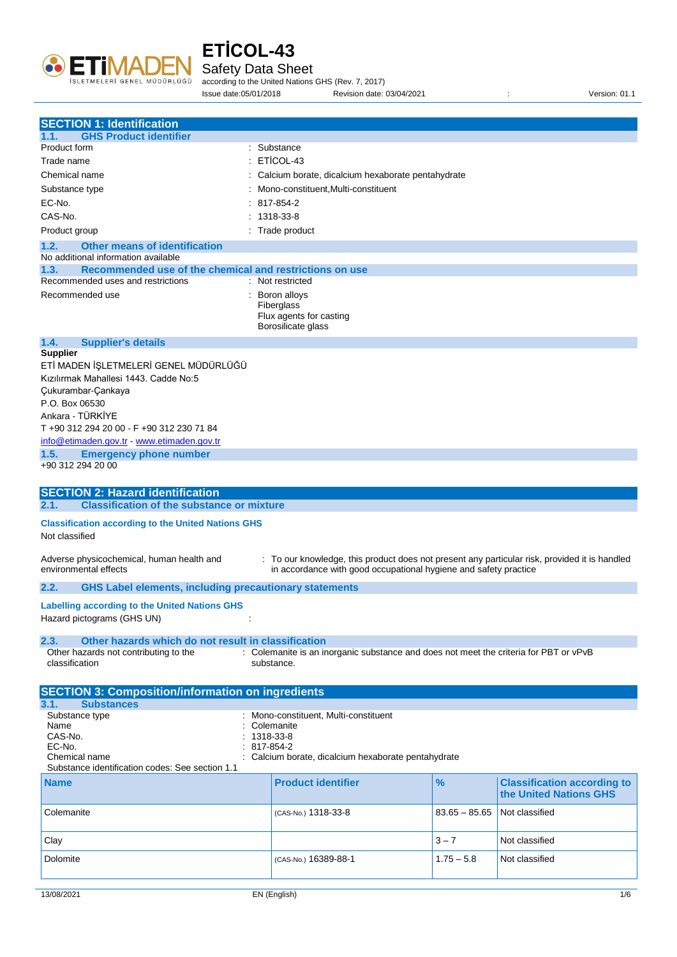

Safety Data Sheet

according to the United Nations GHS (Rev. 7, 2017) Issue date:05/01/2018 Revision date: 03/04/2021 : Version: 01.1

| <b>SECTION 1: Identification</b>                                                    |                                                                                                     |                 |                                    |
|-------------------------------------------------------------------------------------|-----------------------------------------------------------------------------------------------------|-----------------|------------------------------------|
| <b>GHS Product identifier</b><br>1.1.                                               |                                                                                                     |                 |                                    |
| Product form                                                                        | : Substance                                                                                         |                 |                                    |
| Trade name                                                                          | ETICOL-43                                                                                           |                 |                                    |
| Chemical name                                                                       | Calcium borate, dicalcium hexaborate pentahydrate                                                   |                 |                                    |
| Substance type                                                                      | Mono-constituent, Multi-constituent                                                                 |                 |                                    |
| EC-No.                                                                              | 817-854-2                                                                                           |                 |                                    |
| CAS-No.                                                                             | 1318-33-8                                                                                           |                 |                                    |
| Product group                                                                       | : Trade product                                                                                     |                 |                                    |
|                                                                                     |                                                                                                     |                 |                                    |
| 1.2.<br><b>Other means of identification</b><br>No additional information available |                                                                                                     |                 |                                    |
| 1.3.<br>Recommended use of the chemical and restrictions on use                     |                                                                                                     |                 |                                    |
| Recommended uses and restrictions                                                   | : Not restricted                                                                                    |                 |                                    |
| Recommended use                                                                     | Boron alloys<br>Fiberglass                                                                          |                 |                                    |
|                                                                                     | Flux agents for casting                                                                             |                 |                                    |
|                                                                                     | Borosilicate glass                                                                                  |                 |                                    |
| 1.4.<br><b>Supplier's details</b>                                                   |                                                                                                     |                 |                                    |
| <b>Supplier</b>                                                                     |                                                                                                     |                 |                                    |
| ETİ MADEN İŞLETMELERİ GENEL MÜDÜRLÜĞÜ                                               |                                                                                                     |                 |                                    |
| Kızılırmak Mahallesi 1443. Cadde No:5                                               |                                                                                                     |                 |                                    |
| Çukurambar-Çankaya                                                                  |                                                                                                     |                 |                                    |
| P.O. Box 06530<br>Ankara - TÜRKİYE                                                  |                                                                                                     |                 |                                    |
| T +90 312 294 20 00 - F +90 312 230 71 84                                           |                                                                                                     |                 |                                    |
| info@etimaden.gov.tr - www.etimaden.gov.tr                                          |                                                                                                     |                 |                                    |
| 1.5.<br><b>Emergency phone number</b>                                               |                                                                                                     |                 |                                    |
| +90 312 294 20 00                                                                   |                                                                                                     |                 |                                    |
|                                                                                     |                                                                                                     |                 |                                    |
| <b>SECTION 2: Hazard identification</b>                                             |                                                                                                     |                 |                                    |
| <b>Classification of the substance or mixture</b><br>2.1.                           |                                                                                                     |                 |                                    |
| <b>Classification according to the United Nations GHS</b>                           |                                                                                                     |                 |                                    |
| Not classified                                                                      |                                                                                                     |                 |                                    |
|                                                                                     |                                                                                                     |                 |                                    |
| Adverse physicochemical, human health and                                           | : To our knowledge, this product does not present any particular risk, provided it is handled       |                 |                                    |
| environmental effects                                                               | in accordance with good occupational hygiene and safety practice                                    |                 |                                    |
| 2.2.<br><b>GHS Label elements, including precautionary statements</b>               |                                                                                                     |                 |                                    |
| <b>Labelling according to the United Nations GHS</b>                                |                                                                                                     |                 |                                    |
| Hazard pictograms (GHS UN)                                                          |                                                                                                     |                 |                                    |
|                                                                                     |                                                                                                     |                 |                                    |
| Other hazards which do not result in classification<br>2.3.                         |                                                                                                     |                 |                                    |
| Other hazards not contributing to the<br>classification                             | : Colemanite is an inorganic substance and does not meet the criteria for PBT or vPvB<br>substance. |                 |                                    |
|                                                                                     |                                                                                                     |                 |                                    |
| <b>SECTION 3: Composition/information on ingredients</b>                            |                                                                                                     |                 |                                    |
| 3.1.<br><b>Substances</b>                                                           |                                                                                                     |                 |                                    |
| Substance type                                                                      | Mono-constituent, Multi-constituent                                                                 |                 |                                    |
| Name                                                                                | Colemanite                                                                                          |                 |                                    |
| CAS-No.                                                                             | 1318-33-8                                                                                           |                 |                                    |
| EC-No.<br>Chemical name                                                             | 817-854-2<br>Calcium borate, dicalcium hexaborate pentahydrate                                      |                 |                                    |
| Substance identification codes: See section 1.1                                     |                                                                                                     |                 |                                    |
| <b>Name</b>                                                                         | <b>Product identifier</b>                                                                           | %               | <b>Classification according to</b> |
|                                                                                     |                                                                                                     |                 | the United Nations GHS             |
|                                                                                     |                                                                                                     |                 |                                    |
| Colemanite                                                                          | (CAS-No.) 1318-33-8                                                                                 | $83.65 - 85.65$ | Not classified                     |
|                                                                                     |                                                                                                     |                 |                                    |
| Clay                                                                                |                                                                                                     | $3 - 7$         | Not classified                     |
|                                                                                     |                                                                                                     | $1.75 - 5.8$    | Not classified                     |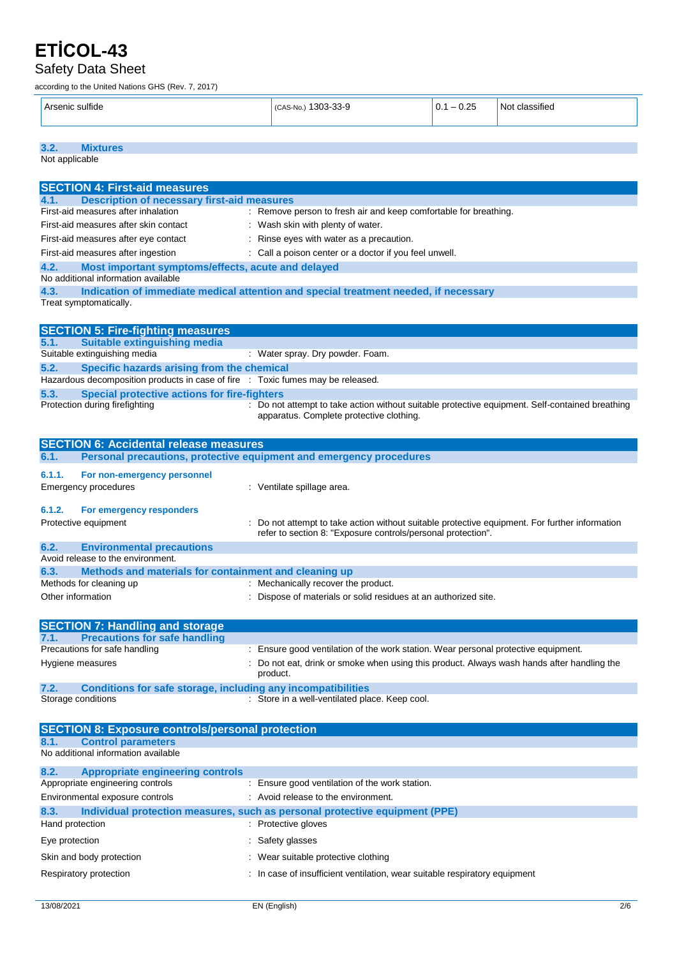**3.2. Mixtures** Not applicable

### Safety Data Sheet

according to the United Nations GHS (Rev. 7, 2017)

| $\ddotsc$<br>. 0e<br>. | 000<br>.<br><br>NG<br><br>w. | $\sim$ $\sim$<br>U<br>$\overline{\phantom{a}}$<br>. .<br>$ -$<br>$\sim$ | $\sim$ 44 $\sim$<br>sifiec<br>N<br>$\sim$ $\sim$ |
|------------------------|------------------------------|-------------------------------------------------------------------------|--------------------------------------------------|
|------------------------|------------------------------|-------------------------------------------------------------------------|--------------------------------------------------|

| <b>SECTION 4: First-aid measures</b>                                                              |                                                                                                                                             |
|---------------------------------------------------------------------------------------------------|---------------------------------------------------------------------------------------------------------------------------------------------|
| <b>Description of necessary first-aid measures</b><br>4.1.                                        |                                                                                                                                             |
| First-aid measures after inhalation                                                               | : Remove person to fresh air and keep comfortable for breathing.                                                                            |
| First-aid measures after skin contact                                                             | : Wash skin with plenty of water.                                                                                                           |
| First-aid measures after eye contact                                                              | : Rinse eyes with water as a precaution.                                                                                                    |
| First-aid measures after ingestion                                                                | : Call a poison center or a doctor if you feel unwell.                                                                                      |
| 4.2.<br>Most important symptoms/effects, acute and delayed<br>No additional information available |                                                                                                                                             |
| 4.3.                                                                                              | Indication of immediate medical attention and special treatment needed, if necessary                                                        |
| Treat symptomatically.                                                                            |                                                                                                                                             |
|                                                                                                   |                                                                                                                                             |
| <b>SECTION 5: Fire-fighting measures</b>                                                          |                                                                                                                                             |
| <b>Suitable extinguishing media</b><br>5.1.                                                       |                                                                                                                                             |
| Suitable extinguishing media                                                                      | : Water spray. Dry powder. Foam.                                                                                                            |
| 5.2.<br>Specific hazards arising from the chemical                                                |                                                                                                                                             |
| Hazardous decomposition products in case of fire : Toxic fumes may be released.                   |                                                                                                                                             |
| <b>Special protective actions for fire-fighters</b><br>5.3.                                       |                                                                                                                                             |
| Protection during firefighting                                                                    | : Do not attempt to take action without suitable protective equipment. Self-contained breathing<br>apparatus. Complete protective clothing. |
|                                                                                                   |                                                                                                                                             |
| <b>SECTION 6: Accidental release measures</b>                                                     |                                                                                                                                             |
| 6.1.                                                                                              | Personal precautions, protective equipment and emergency procedures                                                                         |
|                                                                                                   |                                                                                                                                             |
| 6.1.1.<br>For non-emergency personnel                                                             |                                                                                                                                             |
| <b>Emergency procedures</b>                                                                       | : Ventilate spillage area.                                                                                                                  |
| 6.1.2.<br>For emergency responders                                                                |                                                                                                                                             |
| Protective equipment                                                                              | Do not attempt to take action without suitable protective equipment. For further information                                                |
|                                                                                                   | refer to section 8: "Exposure controls/personal protection".                                                                                |
| 6.2.<br><b>Environmental precautions</b>                                                          |                                                                                                                                             |
| Avoid release to the environment.                                                                 |                                                                                                                                             |
| 6.3.<br>Methods and materials for containment and cleaning up                                     |                                                                                                                                             |
| Methods for cleaning up                                                                           | : Mechanically recover the product.                                                                                                         |
| Other information                                                                                 | : Dispose of materials or solid residues at an authorized site.                                                                             |
|                                                                                                   |                                                                                                                                             |
| <b>SECTION 7: Handling and storage</b>                                                            |                                                                                                                                             |
| <b>Precautions for safe handling</b><br>7.1.                                                      |                                                                                                                                             |
| Precautions for safe handling                                                                     | : Ensure good ventilation of the work station. Wear personal protective equipment.                                                          |
| Hygiene measures                                                                                  | Do not eat, drink or smoke when using this product. Always wash hands after handling the                                                    |
|                                                                                                   | product.                                                                                                                                    |
| <b>Conditions for safe storage, including any incompatibilities</b><br>7.2.                       |                                                                                                                                             |
| Storage conditions                                                                                | : Store in a well-ventilated place. Keep cool.                                                                                              |

|                                     | <b>SECTION 8: Exposure controls/personal protection</b> |                                                                             |
|-------------------------------------|---------------------------------------------------------|-----------------------------------------------------------------------------|
| 8.1.                                | <b>Control parameters</b>                               |                                                                             |
| No additional information available |                                                         |                                                                             |
| 8.2.                                |                                                         |                                                                             |
|                                     | <b>Appropriate engineering controls</b>                 |                                                                             |
| Appropriate engineering controls    |                                                         | : Ensure good ventilation of the work station.                              |
| Environmental exposure controls     |                                                         | : Avoid release to the environment.                                         |
| 8.3.                                |                                                         | Individual protection measures, such as personal protective equipment (PPE) |
| Hand protection                     |                                                         | : Protective gloves                                                         |
| Eye protection                      |                                                         | : Safety glasses                                                            |
| Skin and body protection            |                                                         | Wear suitable protective clothing                                           |
| Respiratory protection              |                                                         | : In case of insufficient ventilation, wear suitable respiratory equipment  |
|                                     |                                                         |                                                                             |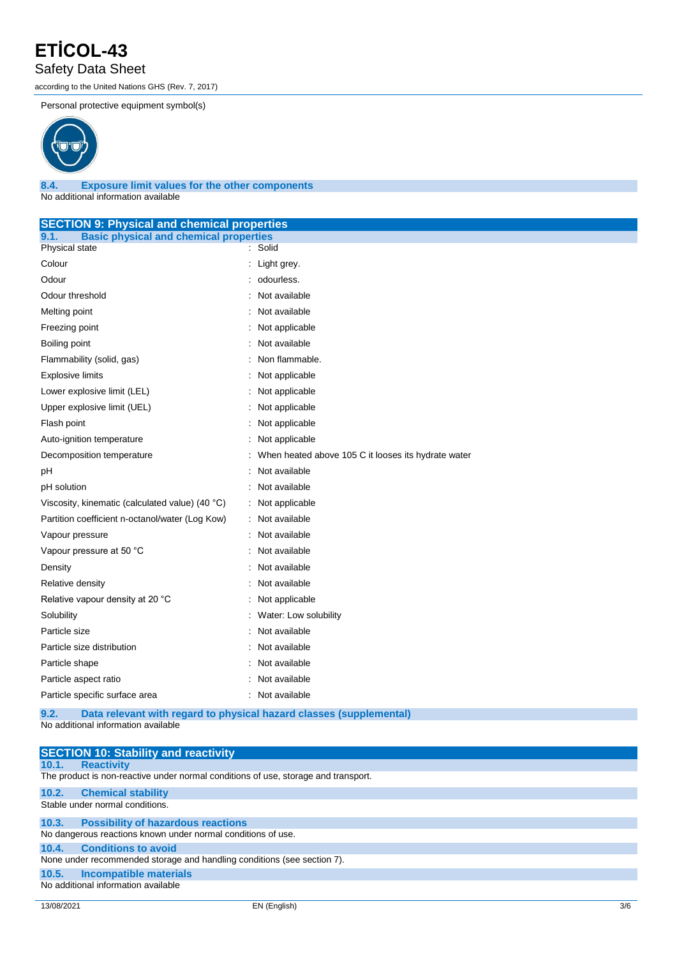#### Safety Data Sheet

according to the United Nations GHS (Rev. 7, 2017)

Personal protective equipment symbol(s)



#### **8.4. Exposure limit values for the other components** No additional information available

| <b>SECTION 9: Physical and chemical properties</b>                  |  |  |  |
|---------------------------------------------------------------------|--|--|--|
| <b>Basic physical and chemical properties</b>                       |  |  |  |
| Solid<br>÷                                                          |  |  |  |
| Light grey.                                                         |  |  |  |
| odourless.                                                          |  |  |  |
| Not available                                                       |  |  |  |
| Not available                                                       |  |  |  |
| Not applicable                                                      |  |  |  |
| Not available                                                       |  |  |  |
| Non flammable.                                                      |  |  |  |
| Not applicable                                                      |  |  |  |
| Not applicable                                                      |  |  |  |
| Not applicable                                                      |  |  |  |
| Not applicable                                                      |  |  |  |
| Not applicable                                                      |  |  |  |
| When heated above 105 C it looses its hydrate water                 |  |  |  |
| Not available                                                       |  |  |  |
| Not available                                                       |  |  |  |
| : Not applicable                                                    |  |  |  |
| : Not available                                                     |  |  |  |
| Not available                                                       |  |  |  |
| Not available                                                       |  |  |  |
| Not available                                                       |  |  |  |
| Not available                                                       |  |  |  |
| Not applicable                                                      |  |  |  |
| Water: Low solubility                                               |  |  |  |
| Not available                                                       |  |  |  |
| Not available                                                       |  |  |  |
| Not available                                                       |  |  |  |
| Not available                                                       |  |  |  |
| : Not available                                                     |  |  |  |
| Data relevant with regard to physical hazard classes (supplemental) |  |  |  |
|                                                                     |  |  |  |

No additional information available

| <b>SECTION 10: Stability and reactivity</b>                                        |  |  |  |
|------------------------------------------------------------------------------------|--|--|--|
| <b>Reactivity</b><br>10.1.                                                         |  |  |  |
| The product is non-reactive under normal conditions of use, storage and transport. |  |  |  |
| 10.2.<br><b>Chemical stability</b>                                                 |  |  |  |
| Stable under normal conditions.                                                    |  |  |  |
| <b>Possibility of hazardous reactions</b><br>10.3.                                 |  |  |  |
| No dangerous reactions known under normal conditions of use.                       |  |  |  |
| <b>Conditions to avoid</b><br>10.4.                                                |  |  |  |
| None under recommended storage and handling conditions (see section 7).            |  |  |  |
| <b>Incompatible materials</b><br>10.5.                                             |  |  |  |
| No additional information available                                                |  |  |  |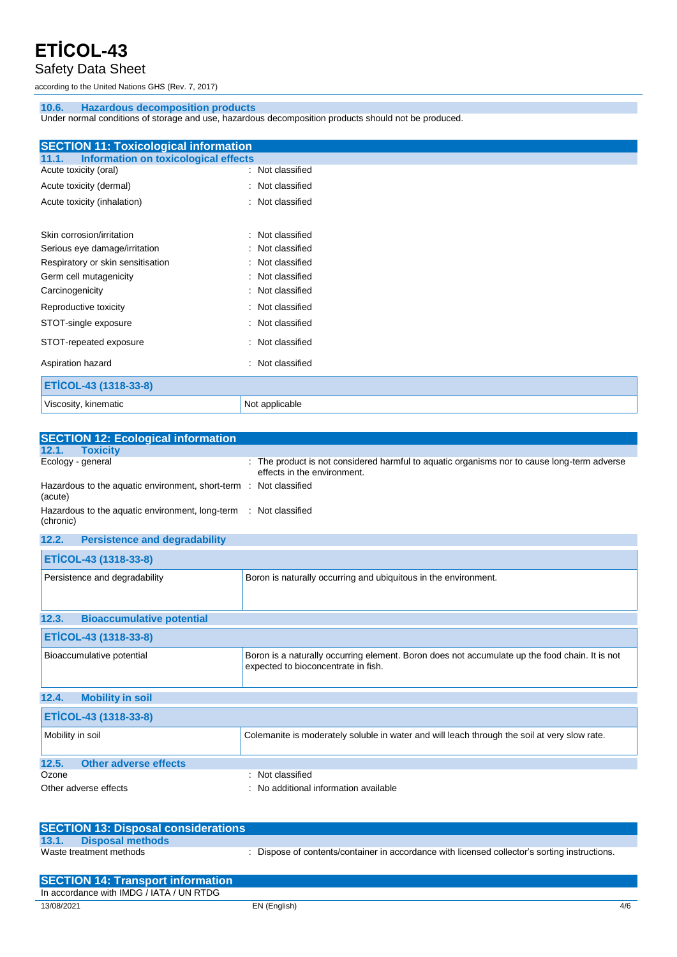### Safety Data Sheet

according to the United Nations GHS (Rev. 7, 2017)

#### **10.6. Hazardous decomposition products**

Under normal conditions of storage and use, hazardous decomposition products should not be produced.

| <b>SECTION 11: Toxicological information</b>         |                     |
|------------------------------------------------------|---------------------|
| <b>Information on toxicological effects</b><br>11.1. |                     |
| Acute toxicity (oral)                                | : Not classified    |
| Acute toxicity (dermal)                              | : Not classified    |
|                                                      |                     |
| Acute toxicity (inhalation)                          | : Not classified    |
|                                                      |                     |
|                                                      |                     |
| Skin corrosion/irritation                            | Not classified      |
| Serious eye damage/irritation                        | Not classified      |
| Respiratory or skin sensitisation                    | Not classified      |
| Germ cell mutagenicity                               | Not classified      |
| Carcinogenicity                                      | Not classified      |
|                                                      |                     |
| Reproductive toxicity                                | Not classified      |
| STOT-single exposure                                 | : Not classified    |
| STOT-repeated exposure                               | : Not classified    |
| Aspiration hazard                                    | Not classified<br>÷ |
|                                                      |                     |
| ETİCOL-43 (1318-33-8)                                |                     |
| Viscosity, kinematic                                 | Not applicable      |

| <b>SECTION 12: Ecological information</b>                                     |                                                                                                                            |
|-------------------------------------------------------------------------------|----------------------------------------------------------------------------------------------------------------------------|
| 12.1.<br><b>Toxicity</b>                                                      |                                                                                                                            |
| Ecology - general                                                             | : The product is not considered harmful to aquatic organisms nor to cause long-term adverse<br>effects in the environment. |
| Hazardous to the aquatic environment, short-term : Not classified<br>(acute)  |                                                                                                                            |
| Hazardous to the aquatic environment, long-term : Not classified<br>(chronic) |                                                                                                                            |

| <b>Persistence and degradability</b><br>12.2. |                                                                                                                                       |
|-----------------------------------------------|---------------------------------------------------------------------------------------------------------------------------------------|
| ETİCOL-43 (1318-33-8)                         |                                                                                                                                       |
| Persistence and degradability                 | Boron is naturally occurring and ubiquitous in the environment.                                                                       |
| 12.3.<br><b>Bioaccumulative potential</b>     |                                                                                                                                       |
| ETİCOL-43 (1318-33-8)                         |                                                                                                                                       |
| Bioaccumulative potential                     | Boron is a naturally occurring element. Boron does not accumulate up the food chain. It is not<br>expected to bioconcentrate in fish. |
| 12.4.<br><b>Mobility in soil</b>              |                                                                                                                                       |
| ETİCOL-43 (1318-33-8)                         |                                                                                                                                       |
| Mobility in soil                              | Colemanite is moderately soluble in water and will leach through the soil at very slow rate.                                          |
| <b>Other adverse effects</b><br>12.5.         |                                                                                                                                       |
| Ozone                                         | : Not classified                                                                                                                      |
| Other adverse effects                         | : No additional information available                                                                                                 |

| <b>SECTION 13: Disposal considerations</b> |                                                                                             |
|--------------------------------------------|---------------------------------------------------------------------------------------------|
| 13.1.<br><b>Disposal methods</b>           |                                                                                             |
| Waste treatment methods                    | Dispose of contents/container in accordance with licensed collector's sorting instructions. |

| <b>SECTION 14: Transport information</b> |              |     |
|------------------------------------------|--------------|-----|
| In accordance with IMDG / IATA / UN RTDG |              |     |
| 13/08/2021                               | EN (English) | 4/6 |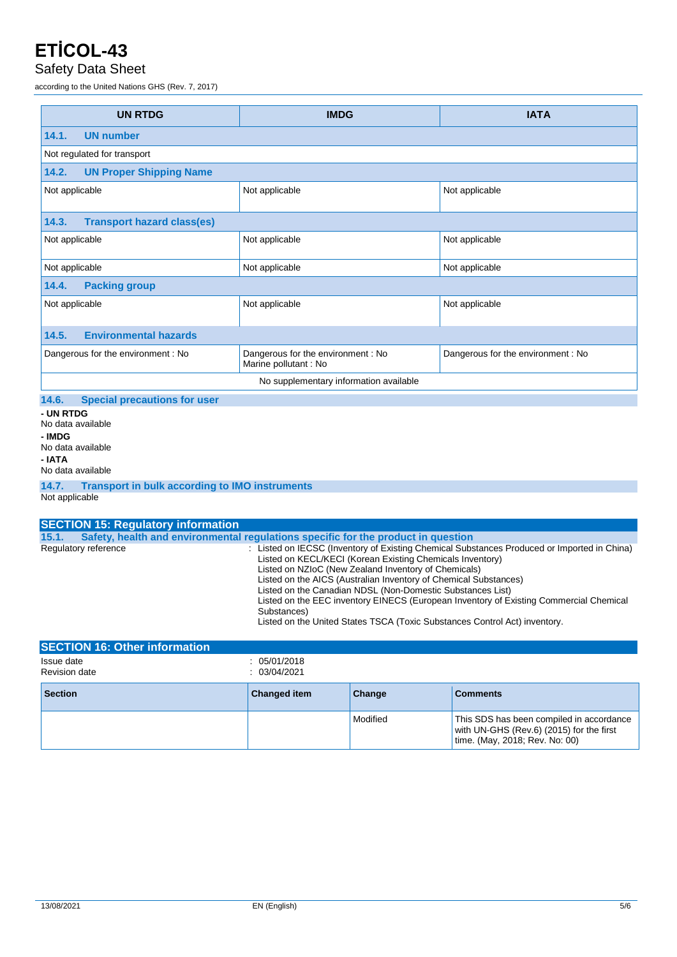#### Safety Data Sheet

according to the United Nations GHS (Rev. 7, 2017)

| <b>UN RTDG</b>                                                                                                                | <b>IMDG</b>                                                | <b>IATA</b>                       |  |  |
|-------------------------------------------------------------------------------------------------------------------------------|------------------------------------------------------------|-----------------------------------|--|--|
| 14.1.<br><b>UN number</b>                                                                                                     |                                                            |                                   |  |  |
| Not regulated for transport                                                                                                   |                                                            |                                   |  |  |
| 14.2.<br><b>UN Proper Shipping Name</b>                                                                                       |                                                            |                                   |  |  |
| Not applicable                                                                                                                | Not applicable                                             | Not applicable                    |  |  |
| <b>Transport hazard class(es)</b><br>14.3.                                                                                    |                                                            |                                   |  |  |
| Not applicable                                                                                                                | Not applicable                                             | Not applicable                    |  |  |
| Not applicable                                                                                                                | Not applicable                                             | Not applicable                    |  |  |
| 14.4.<br><b>Packing group</b>                                                                                                 |                                                            |                                   |  |  |
| Not applicable                                                                                                                | Not applicable                                             | Not applicable                    |  |  |
| 14.5.<br><b>Environmental hazards</b>                                                                                         |                                                            |                                   |  |  |
| Dangerous for the environment: No                                                                                             | Dangerous for the environment: No<br>Marine pollutant : No | Dangerous for the environment: No |  |  |
| No supplementary information available                                                                                        |                                                            |                                   |  |  |
| 14.6.<br><b>Special precautions for user</b>                                                                                  |                                                            |                                   |  |  |
| - UN RTDG<br>No data available<br>- IMDG<br>No data available<br>- IATA<br>No data available                                  |                                                            |                                   |  |  |
| 14.7.<br><b>Transport in bulk according to IMO instruments</b><br>Not applicable<br><b>SECTION 15: Regulatory information</b> |                                                            |                                   |  |  |
| Safety health and environmental requisions specific for the product in question<br>151                                        |                                                            |                                   |  |  |

**15.1. Safety, health and environmental regulations specific for the product in question** Regulatory reference : Listed on IECSC (Inventory of Existing Chemical Substances Produced or Imported in China) Listed on KECL/KECI (Korean Existing Chemicals Inventory) Listed on NZIoC (New Zealand Inventory of Chemicals) Listed on the AICS (Australian Inventory of Chemical Substances) Listed on the Canadian NDSL (Non-Domestic Substances List) Listed on the EEC inventory EINECS (European Inventory of Existing Commercial Chemical Substances) Listed on the United States TSCA (Toxic Substances Control Act) inventory.

| <b>SECTION 16: Other information</b> |                            |          |                                                                                                                        |
|--------------------------------------|----------------------------|----------|------------------------------------------------------------------------------------------------------------------------|
| Issue date<br><b>Revision date</b>   | 05/01/2018<br>: 03/04/2021 |          |                                                                                                                        |
| <b>Section</b>                       | <b>Changed item</b>        | Change   | <b>Comments</b>                                                                                                        |
|                                      |                            | Modified | This SDS has been compiled in accordance<br>with UN-GHS (Rev.6) (2015) for the first<br>time. (May, 2018; Rev. No: 00) |